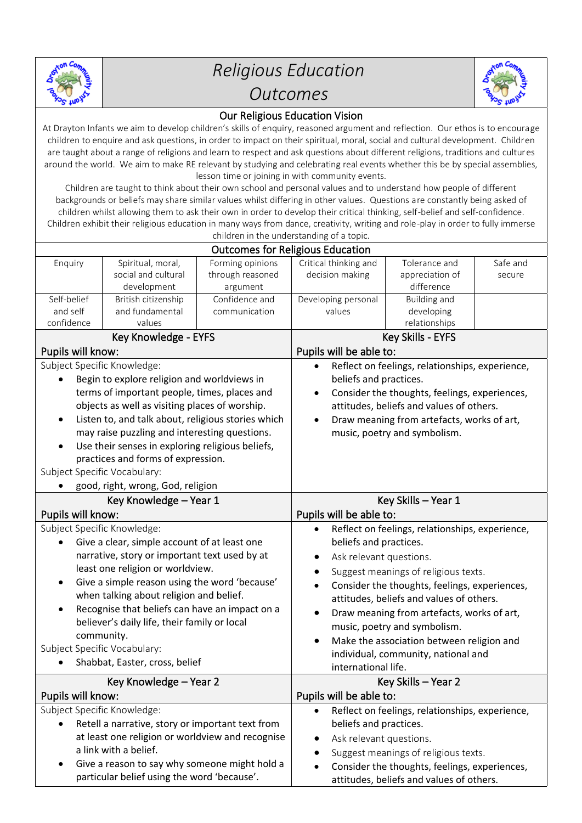

## *Religious Education Outcomes*



## Our Religious Education Vision

At Drayton Infants we aim to develop children's skills of enquiry, reasoned argument and reflection. Our ethos is to encourage children to enquire and ask questions, in order to impact on their spiritual, moral, social and cultural development. Children are taught about a range of religions and learn to respect and ask questions about different religions, traditions and cultures around the world. We aim to make RE relevant by studying and celebrating real events whether this be by special assemblies, lesson time or joining in with community events.

Children are taught to think about their own school and personal values and to understand how people of different backgrounds or beliefs may share similar values whilst differing in other values. Questions are constantly being asked of children whilst allowing them to ask their own in order to develop their critical thinking, self-belief and self-confidence. Children exhibit their religious education in many ways from dance, creativity, writing and role-play in order to fully immerse children in the understanding of a topic.

| <b>Outcomes for Religious Education</b>                                                                     |                                               |                            |                                                                            |                                               |          |  |
|-------------------------------------------------------------------------------------------------------------|-----------------------------------------------|----------------------------|----------------------------------------------------------------------------|-----------------------------------------------|----------|--|
| Enquiry                                                                                                     | Spiritual, moral,                             | Forming opinions           | Critical thinking and                                                      | Tolerance and                                 | Safe and |  |
|                                                                                                             | social and cultural                           | through reasoned           | decision making                                                            | appreciation of<br>difference                 | secure   |  |
| Self-belief                                                                                                 | development<br>British citizenship            | argument<br>Confidence and | Developing personal                                                        | <b>Building and</b>                           |          |  |
| and self                                                                                                    | and fundamental                               | communication              | values                                                                     | developing                                    |          |  |
| confidence                                                                                                  | values                                        |                            |                                                                            | relationships                                 |          |  |
| Key Knowledge - EYFS                                                                                        |                                               |                            | Key Skills - EYFS                                                          |                                               |          |  |
| Pupils will know:                                                                                           |                                               |                            | Pupils will be able to:                                                    |                                               |          |  |
| Subject Specific Knowledge:                                                                                 |                                               |                            | Reflect on feelings, relationships, experience,                            |                                               |          |  |
| Begin to explore religion and worldviews in                                                                 |                                               |                            | beliefs and practices.                                                     |                                               |          |  |
| terms of important people, times, places and                                                                |                                               |                            | Consider the thoughts, feelings, experiences,                              |                                               |          |  |
| objects as well as visiting places of worship.                                                              |                                               |                            | attitudes, beliefs and values of others.                                   |                                               |          |  |
| Listen to, and talk about, religious stories which<br>$\bullet$                                             |                                               |                            | Draw meaning from artefacts, works of art,<br>$\bullet$                    |                                               |          |  |
| may raise puzzling and interesting questions.                                                               |                                               |                            | music, poetry and symbolism.                                               |                                               |          |  |
| Use their senses in exploring religious beliefs,<br>$\bullet$                                               |                                               |                            |                                                                            |                                               |          |  |
| practices and forms of expression.                                                                          |                                               |                            |                                                                            |                                               |          |  |
| Subject Specific Vocabulary:                                                                                |                                               |                            |                                                                            |                                               |          |  |
| good, right, wrong, God, religion                                                                           |                                               |                            |                                                                            |                                               |          |  |
| Key Knowledge - Year 1                                                                                      |                                               |                            | Key Skills - Year 1                                                        |                                               |          |  |
| Pupils will know:                                                                                           |                                               |                            | Pupils will be able to:                                                    |                                               |          |  |
| Subject Specific Knowledge:                                                                                 |                                               |                            | Reflect on feelings, relationships, experience,                            |                                               |          |  |
| Give a clear, simple account of at least one                                                                |                                               |                            | beliefs and practices.                                                     |                                               |          |  |
| narrative, story or important text used by at                                                               |                                               |                            | Ask relevant questions.                                                    |                                               |          |  |
| least one religion or worldview.                                                                            |                                               |                            | Suggest meanings of religious texts.                                       |                                               |          |  |
| Give a simple reason using the word 'because'<br>$\bullet$                                                  |                                               |                            | Consider the thoughts, feelings, experiences,<br>$\bullet$                 |                                               |          |  |
| when talking about religion and belief.                                                                     |                                               |                            | attitudes, beliefs and values of others.                                   |                                               |          |  |
| Recognise that beliefs can have an impact on a<br>$\bullet$<br>believer's daily life, their family or local |                                               |                            | Draw meaning from artefacts, works of art,<br>music, poetry and symbolism. |                                               |          |  |
| community.                                                                                                  |                                               |                            | Make the association between religion and                                  |                                               |          |  |
| Subject Specific Vocabulary:                                                                                |                                               |                            | individual, community, national and                                        |                                               |          |  |
| Shabbat, Easter, cross, belief                                                                              |                                               |                            | international life.                                                        |                                               |          |  |
| Key Knowledge - Year 2                                                                                      |                                               |                            | Key Skills - Year 2                                                        |                                               |          |  |
| Pupils will know:                                                                                           |                                               |                            | Pupils will be able to:                                                    |                                               |          |  |
| Subject Specific Knowledge:                                                                                 |                                               |                            | Reflect on feelings, relationships, experience,                            |                                               |          |  |
| Retell a narrative, story or important text from                                                            |                                               |                            | beliefs and practices.                                                     |                                               |          |  |
| at least one religion or worldview and recognise                                                            |                                               |                            | Ask relevant questions.                                                    |                                               |          |  |
|                                                                                                             | a link with a belief.                         |                            | ٠                                                                          | Suggest meanings of religious texts.          |          |  |
| $\bullet$                                                                                                   | Give a reason to say why someone might hold a |                            |                                                                            | Consider the thoughts, feelings, experiences, |          |  |
|                                                                                                             | particular belief using the word 'because'.   |                            |                                                                            | attitudes, beliefs and values of others.      |          |  |
|                                                                                                             |                                               |                            |                                                                            |                                               |          |  |